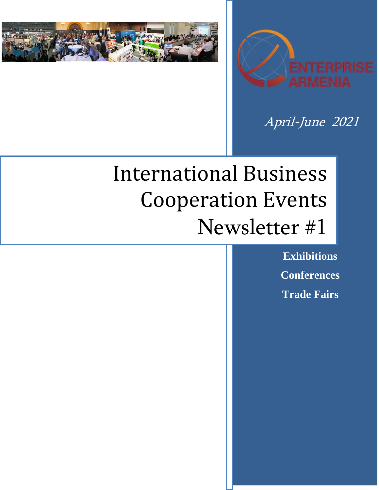



April-June 2021

# International Business Cooperation Events Newsletter #1

**Exhibitions Conferences Trade Fairs**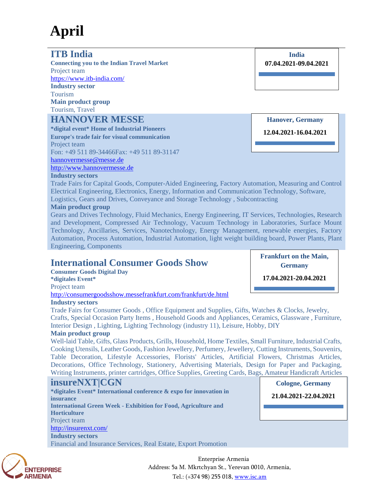## **April**

## **ITB India**

**Connecting you to the Indian Travel Market** Project team <https://www.itb-india.com/> **Industry sector** Tourism **Main product group** Tourism, Travel

## **HANNOVER MESSE**

**\*digital event\* Home of Industrial Pioneers Europe's trade fair for visual communication** Project team Fon: +49 511 89-34466Fax: +49 511 89-31147 [hannovermesse@messe.de](mailto:hannovermesse@messe.de) [http://www.hannovermesse.de](http://www.hannovermesse.de/)

**Hanover, Germany**

**12.04.2021-16.04.2021**

### **Industry sectors**

Trade Fairs for Capital Goods, Computer-Aided Engineering, Factory Automation, Measuring and Control Electrical Engineering, Electronics, Energy, Information and Communication Technology, Software, Logistics, Gears and Drives, Conveyance and Storage Technology , Subcontracting

#### **Main product group**

Gears and Drives Technology, Fluid Mechanics, Energy Engineering, IT Services, Technologies, Research and Development, Compressed Air Technology, Vacuum Technology in Laboratories, Surface Mount Technology, Ancillaries, Services, Nanotechnology, Energy Management, renewable energies, Factory Automation, Process Automation, Industrial Automation, light weight building board, Power Plants, Plant Engineering, Components

## **International Consumer Goods Show**

**Consumer Goods Digital Day \*digitales Event\*** Project team <http://consumergoodsshow.messefrankfurt.com/frankfurt/de.html>

#### **Industry sectors**

Trade Fairs for Consumer Goods , Office Equipment and Supplies, Gifts, Watches & Clocks, Jewelry, Crafts, Special Occasion Party Items , Household Goods and Appliances, Ceramics, Glassware , Furniture, Interior Design , Lighting, Lighting Technology (industry 11), Leisure, Hobby, DIY

#### **Main product group**

Well-laid Table, Gifts, Glass Products, Grills, Household, Home Textiles, Small Furniture, Industrial Crafts, Cooking Utensils, Leather Goods, Fashion Jewellery, Perfumery, Jewellery, Cutting Instruments, Souvenirs, Table Decoration, Lifestyle Accessories, Florists' Articles, Artificial Flowers, Christmas Articles, Decorations, Office Technology, Stationery, Advertising Materials, Design for Paper and Packaging, Writing Instruments, printer cartridges, Office Supplies, Greeting Cards, Bags, Amateur Handicraft Articles

## **insureNXT|CGN**

| *digitales Event* International conference & expo for innovation in<br><i>insurance</i> | 21.04.2021-22.04.2021 |
|-----------------------------------------------------------------------------------------|-----------------------|
| <b>International Green Week - Exhibition for Food, Agriculture and</b>                  |                       |
| <b>Horticulture</b>                                                                     |                       |
| Project team                                                                            |                       |
| http://insurenxt.com/                                                                   |                       |
| <b>Industry sectors</b>                                                                 |                       |
| Financial and Insurance Services, Real Estate, Export Promotion                         |                       |



Enterprise Armenia Address: 5a M. Mkrtchyan St., Yerevan 0010, Armenia, Tel.: (+374 98) 255 018, [www.isc.am](http://www.isc.am/) 

**Frankfurt on the Main, Germany**

**17.04.2021-20.04.2021**

**Cologne, Germany**

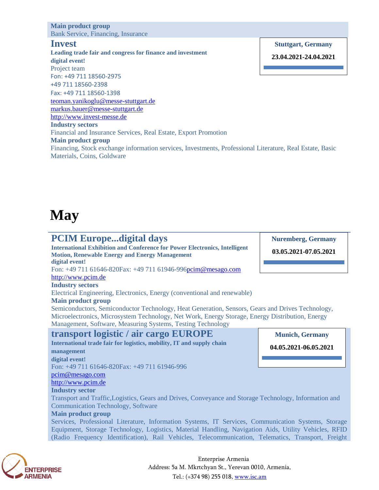#### **Main product group** Bank Service, Financing, Insurance

#### **Invest**

**Leading trade fair and congress for finance and investment digital event!** Project team Fon: +49 711 18560-2975 +49 711 18560-2398 Fax: +49 711 18560-1398 teoman.yanikoglu@messe-stuttgart.de markus.bauer@messe-stuttgart.de [http://www.invest-messe.de](http://www.invest-messe.de/) **Industry sectors**

Financial and Insurance Services, Real Estate, Export Promotion

**Main product group**

Financing, Stock exchange information services, Investments, Professional Literature, Real Estate, Basic Materials, Coins, Goldware

## **May**

## **PCIM Europe...digital days**

**International Exhibition and Conference for Power Electronics, Intelligent Motion, Renewable Energy and Energy Management digital event!**

Fon: +49 711 61646-820Fax: +49 711 61946-99[6pcim@mesago.com](mailto:pcim@mesago.com)

### [http://www.pcim.de](http://www.pcim.de/)

#### **Industry sectors**

Electrical Engineering, Electronics, Energy (conventional and renewable)

#### **Main product group**

Semiconductors, Semiconductor Technology, Heat Generation, Sensors, Gears and Drives Technology, Microelectronics, Microsystem Technology, Net Work, Energy Storage, Energy Distribution, Energy Management, Software, Measuring Systems, Testing Technology

## **transport logistic / air cargo EUROPE**

**International trade fair for logistics, mobility, IT and supply chain management digital event!** Fon: +49 711 61646-820Fax: +49 711 61946-996 [pcim@mesago.com](mailto:pcim@mesago.com) [http://www.pcim.de](http://www.pcim.de/) **Industry sector**

Transport and Traffic,Logistics, Gears and Drives, Conveyance and Storage Technology, Information and Communication Technology, Software

#### **Main product group**

Services, Professional Literature, Information Systems, IT Services, Communication Systems, Storage Equipment, Storage Technology, Logistics, Material Handling, Navigation Aids, Utility Vehicles, RFID (Radio Frequency Identification), Rail Vehicles, Telecommunication, Telematics, Transport, Freight



Enterprise Armenia Address: 5a M. Mkrtchyan St., Yerevan 0010, Armenia, Tel.: (+374 98) 255 018, [www.isc.am](http://www.isc.am/) 

**Stuttgart, Germany**

**23.04.2021-24.04.2021**



**Nuremberg, Germany 03.05.2021-07.05.2021**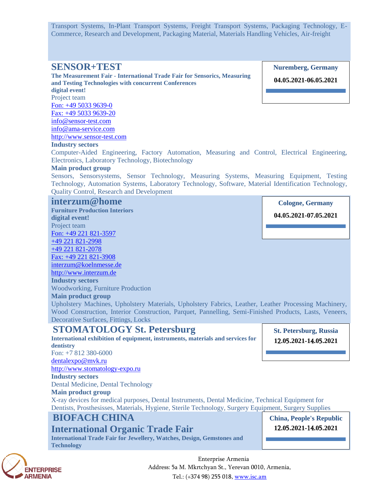Transport Systems, In-Plant Transport Systems, Freight Transport Systems, Packaging Technology, E-Commerce, Research and Development, Packaging Material, Materials Handling Vehicles, Air-freight

### **SENSOR+TEST**

**The Measurement Fair - International Trade Fair for Sensorics, Measuring and Testing Technologies with concurrent Conferences** 

**digital event!** Project team

Fon: +49 5033 9639-0 Fax: +49 5033 9639-20

info@sensor-test.com

info@ama-service.com

http://www.sensor-test.com

#### **Industry sectors**

Computer-Aided Engineering, Factory Automation, Measuring and Control, Electrical Engineering, Electronics, Laboratory Technology, Biotechnology

#### **Main product group**

Sensors, Sensorsystems, Sensor Technology, Measuring Systems, Measuring Equipment, Testing Technology, Automation Systems, Laboratory Technology, Software, Material Identification Technology, Quality Control, Research and Development

#### **interzum@home**

**Furniture Production Interiors digital event!** Project team Fon: +49 221 821-3597 +49 221 821-2998 +49 221 821-2078 Fax: +49 221 821-3908 interzum@koelnmesse.de http://www.interzum.de **Industry sectors** Woodworking, Furniture Production

**Main product group**

Upholstery Machines, Upholstery Materials, Upholstery Fabrics, Leather, Leather Processing Machinery, Wood Construction, Interior Construction, Parquet, Pannelling, Semi-Finished Products, Lasts, Veneers, Decorative Surfaces, Fittings, Locks

## **STOMATOLOGY St. Petersburg**

**International exhibition of equipment, instruments, materials and services for dentistry** Fon: +7 812 380-6000

**St. Petersburg**, **Russia 1**2**.0**5**.2021-1**4**.0**5**.2021**

[dentalexpo@mvk.ru](mailto:dentalexpo@mvk.ru) [http://www.stomatology-expo.ru](http://www.stomatology-expo.ru/)

#### **Industry sectors**

Dental Medicine, Dental Technology

#### **Main product group**

X-ray devices for medical purposes, Dental Instruments, Dental Medicine, Technical Equipment for Dentists, Prosthesisses, Materials, Hygiene, Sterile Technology, Surgery Equipment, Surgery Supplies

## **BIOFACH CHINA**

## **International Organic Trade Fair**

**International Trade Fair for Jewellery, Watches, Design, Gemstones and Technology**

## **China, People's Republic**

**19.11.2020-21.11.2020 1**2**.0**5**.2021-**14**.0**5**.2021**



Enterprise Armenia Address: 5a M. Mkrtchyan St., Yerevan 0010, Armenia, Tel.: (+374 98) 255 018, [www.isc.am](http://www.isc.am/) 

**Nuremberg, Germany**

**04.05.2021-06.05.2021**

**Cologne, Germany**

**04.05.2021-07.05.2021**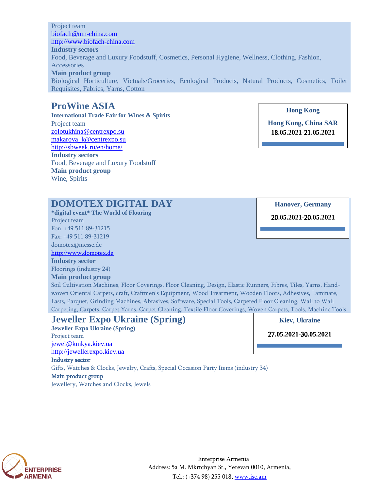Project team [biofach@nm-china.com](mailto:biofach@nm-china.com) [http://www.biofach-china.com](http://www.biofach-china.com/) **Industry sectors** Food, Beverage and Luxury Foodstuff, Cosmetics, Personal Hygiene, Wellness, Clothing, Fashion, Accessories **Main product group** Biological Horticulture, Victuals/Groceries, Ecological Products, Natural Products, Cosmetics, Toilet Requisites, Fabrics, Yarns, Cotton

## **ProWine ASIA**

**International Trade Fair for Wines & Spirits** Project team [zolotukhina@centrexpo.su](mailto:zolotukhina@centrexpo.su) [makarova\\_k@centrexpo.su](mailto:makarova_k@centrexpo.su) <http://sbweek.ru/en/home/> **Industry sectors** Food, Beverage and Luxury Foodstuff **Main product group** Wine, Spirits

**Hong Kong**

**Hong Kong, China SAR 1**8**.05.2021-**21**.05.2021**

## **DOMOTEX DIGITAL DAY**

**\*digital event\* The World of Flooring** Project team

Fon: +49 511 89-31215 Fax: +49 511 89-31219

domotex@messe.de

[http://www.domotex.de](http://www.domotex.de/)

**Industry sector** Floorings (industry 24)

#### **Main product group**

Soil Cultivation Machines, Floor Coverings, Floor Cleaning, Design, Elastic Runners, Fibres, Tiles, Yarns, Handwoven Oriental Carpets, craft, Craftmen's Equipment, Wood Treatment, Wooden Floors, Adhesives, Laminate, Lasts, Parquet, Grinding Machines, Abrasives, Software, Special Tools, Carpeted Floor Cleaning, Wall to Wall Carpeting, Carpets, Carpet Yarns, Carpet Cleaning, Textile Floor Coverings, Woven Carpets, Tools, Machine Tools

#### **Jeweller Expo Ukraine (Spring) Jeweller Expo Ukraine (Spring)** Project team [jewel@kmkya.kiev.ua](mailto:jewel@kmkya.kiev.ua) [http://jewellerexpo.kiev.ua](http://jewellerexpo.kiev.ua/) Industry sector Gifts, Watches & Clocks, Jewelry, Crafts, Special Occasion Party Items (industry 34) Main product group Jewellery, Watches and Clocks, Jewels **Kiev**, **Ukraine** 27**.05.2021-**30**.05.2021**



Enterprise Armenia Address: 5a M. Mkrtchyan St., Yerevan 0010, Armenia, Tel.: (+374 98) 255 018, [www.isc.am](http://www.isc.am/) 

**Hanover, Germany**

20**.05.2021-**20**.05.2021**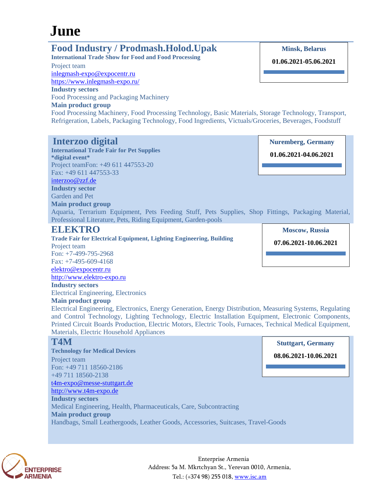## **June**

## **Food Industry / Prodmash.Holod.Upak**

**International Trade Show for Food and Food Processing**

Project team [inlegmash-expo@expocentr.ru](mailto:inlegmash-expo@expocentr.ru) <https://www.inlegmash-expo.ru/>

**Industry sectors**

Garden and Pet **Main product group**

Food Processing and Packaging Machinery

#### **Main product group**

**Minsk, Belarus**

**01.06.2021-05.06.2021**

Food Processing Machinery, Food Processing Technology, Basic Materials, Storage Technology, Transport, Refrigeration, Labels, Packaging Technology, Food Ingredients, Victuals/Groceries, Beverages, Foodstuff

Aquaria, Terrarium Equipment, Pets Feeding Stuff, Pets Supplies, Shop Fittings, Packaging Material,

## **Interzoo digital**

**International Trade Fair for Pet Supplies \*digital event\*** Project teamFon: +49 611 447553-20 Fax: +49 611 447553-33 [interzoo@zzf.de](mailto:interzoo@zzf.de) **Industry sector**

**Nuremberg, Germany**

**01.06.2021-04.06.2021**

**ELEKTRO Trade Fair for Electrical Equipment, Lighting Engineering, Building** Project team Fon: +7-499-795-2968 Fax: +7-495-609-4168 [elektro@expocentr.ru](mailto:elektro@expocentr.ru) [http://www.elektro-expo.ru](http://www.elektro-expo.ru/) **Industry sectors** Electrical Engineering, Electronics

Professional Literature, Pets, Riding Equipment, Garden-pools

#### **Main product group**

Electrical Engineering, Electronics, Energy Generation, Energy Distribution, Measuring Systems, Regulating and Control Technology, Lighting Technology, Electric Installation Equipment, Electronic Components, Printed Circuit Boards Production, Electric Motors, Electric Tools, Furnaces, Technical Medical Equipment, Materials, Electric Household Appliances

## **T4M**

**Technology for Medical Devices** Project team Fon: +49 711 18560-2186 +49 711 18560-2138 [t4m-expo@messe-stuttgart.de](mailto:t4m-expo@messe-stuttgart.de) [http://www.t4m-expo.de](http://www.t4m-expo.de/) **Industry sectors** Medical Engineering, Health, Pharmaceuticals, Care, Subcontracting **Main product group** Handbags, Small Leathergoods, Leather Goods, Accessories, Suitcases, Travel-Goods **Stuttgart, Germany 08.06.2021-10.06.2021**



Enterprise Armenia Address: 5a M. Mkrtchyan St., Yerevan 0010, Armenia, Tel.: (+374 98) 255 018, [www.isc.am](http://www.isc.am/) 

**Moscow, Russia 07.06.2021-10.06.2021**